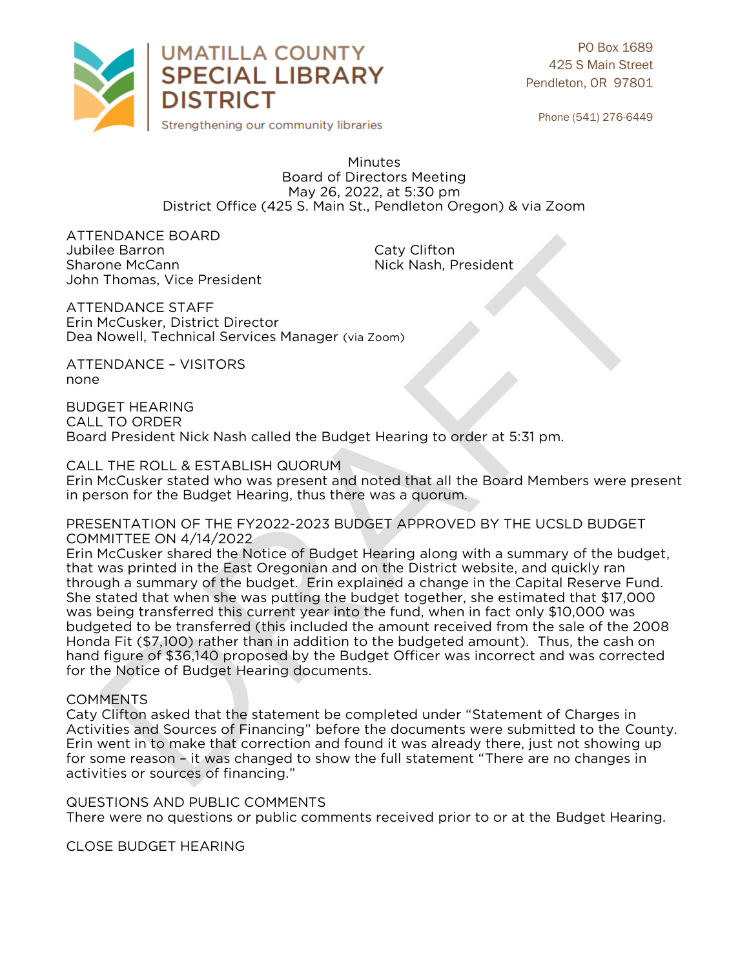

PO Box 1689 425 S Main Street Pendleton, OR 97801

Phone (541) 276-6449

Minutes Board of Directors Meeting May 26, 2022, at 5:30 pm District Office (425 S. Main St., Pendleton Oregon) & via Zoom District Office (425 S. Main St., Pendleton Oregon) & via Zoom

ATTENDANCE BOARD<br>Jubilee Barron Jubilee Barron and Caty Clifton<br>
Sharone McCann<br>
Caty Clifton Caty Clifton John Thomas, Vice President John Thomas, Vice President

ATTENDANCE STAFF Erin McCusker, District Director Dea Nowell, Technical Services Dea Nowell, Technical Services Manager (via Zoom)

ATTENDANCE – VISITORS none

**BUDGET HEARING** CALL TO ORDER **Board President I** Board President Nick Nash called the Budget Hearing to order at 5:31 pm.

CALL THE ROLL & ESTABLISH QUORUM<br>Erin McCusker stated who was present and noted that all the Board Members were present in person for the Budget Hearing, thus there was a quorum. in person for the Budget Hearing, thus there was a quorum.

PRESENTATION OF THE FY2022-2023 BUDGET APPROVED BY THE UCSLD BUDGET<br>COMMITTEE ON 4/14/2022

Erin McCusker shared the Notice of Budget Hearing along with a summary of the budget, that was printed in the East Oregonian and on the District website, and quickly ran through a summary of the budget. Erin explained a change in the Capital Reserve Fund. She stated that when she was putting the budget together, she estimated that \$17,000 was being transferred this current year into the fund, when in fact only \$10,000 was budgeted to be transferred (this included the amount received from the sale of the 2008 Honda Fit (\$7,100) rather than in addition to the budgeted amount). Thus, the cash on hand figure of \$36,140 proposed by the Budget Officer was incorrect and was corrected for the Notice of Budget Hearing documents. for the Notice of Budget Hearing documents.

COMMENTS<br>Caty Clifton asked that the statement be completed under "Statement of Charges in Activities and Sources of Financing" before the documents were submitted to the County. Erin went in to make that correction and found it was already there, just not showing up for some reason – it was changed to show the full statement "There are no changes in activities or sources of financing." activities or sources of financing."

QUESTIONS AND PUBLIC COMMENTS There were no questions or public comments received prior to or at the Budget Hearing. There were no questions or public comments received prior to or at the Budget Hearing.

**CLOSE BUDGET HEARING** CLOSE BUDGET HEARING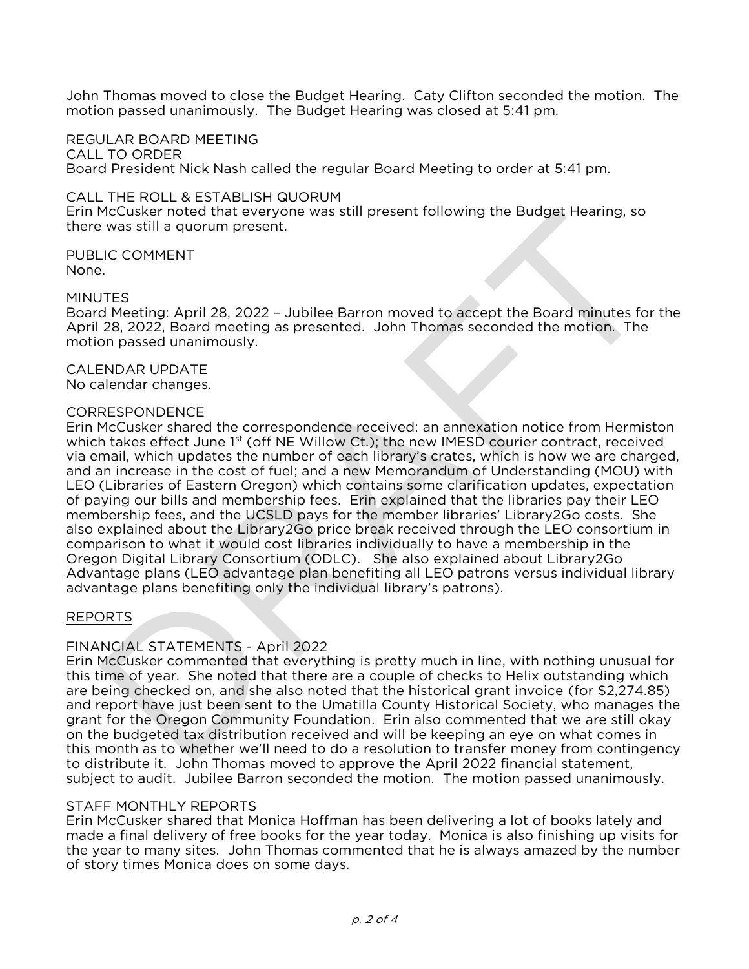$\frac{1}{2}$  motion passed unanimously. The Budget Hearing was closed at 5:41 pm. motion passed unanimously. The Budget Hearing was closed at 5:41 pm.

REGULAR BOARD MEETING CALL TO ORDER Board President Nick Nash called the regular Board Meeting to order at 5:41 pm. Board President Nick Nash called the regular Board Meeting to order at 5:41 pm.

CALL THE ROLL & ESTABLISH QUORUM<br>Erin McCusker noted that everyone was still present following the Budget Hearing, so there was still a quorum present. there was still a quorum present.

PUBLIC COMMENT<br>None. None.

MINUTES<br>Board Meeting: April 28, 2022 - Jubilee Barron moved to accept the Board minutes for the April 28, 2022, Board meeting as presented. John Thomas seconded the motion. The motion passed unanimously. motion passed unanimously.

**CALENDAR UPDATE** No calendar changes. No calendar changes.

## **CORRESPONDENCE**

Erin McCusker shared the correspondence received: an annexation notice from Hermiston which takes effect June  $1<sup>st</sup>$  (off NE Willow Ct.); the new IMESD courier contract, received via email, which updates the number of each library's crates, which is how we are charged, and an increase in the cost of fuel; and a new Memorandum of Understanding (MOU) with LEO (Libraries of Eastern Oregon) which contains some clarification updates, expectation of paving our bills and membership fees. Erin explained that the libraries pay their LEO membership fees, and the UCSLD pays for the member libraries' Library 2Go costs. She also explained about the Library2Go price break received through the LEO consortium in comparison to what it would cost libraries individually to have a membership in the Oregon Digital Library Consortium (ODLC). She also explained about Library2Go Advantage plans (LEO advantage plan benefiting all LEO patrons versus individual library advantage plans benefiting only the individual library's patrons). advantage plans benefiting only the individual library's patrons).

## REPORTS

FINANCIAL STATEMENTS - April 2022<br>Erin McCusker commented that everything is pretty much in line, with nothing unusual for this time of year. She noted that there are a couple of checks to Helix outstanding which are being checked on, and she also noted that the historical grant invoice (for \$2,274.85) and report have just been sent to the Umatilla County Historical Society, who manages the grant for the Oregon Community Foundation. Erin also commented that we are still okay on the budgeted tax distribution received and will be keeping an eye on what comes in this month as to whether we'll need to do a resolution to transfer money from contingency to distribute it. John Thomas moved to approve the April 2022 financial statement. subject to audit. Jubilee Barron seconded the motion. The motion passed unanimously. subject to audit. Jubilee Barron seconded the motion. The motion passed unanimously.

STAFF MONTHLY REPORTS<br>Erin McCusker shared that Monica Hoffman has been delivering a lot of books lately and made a final delivery of free books for the year today. Monica is also finishing up visits for the year to many sites. John Thomas commented that he is always amazed by the number of story times Monica does on some days. of story times Monica does on some days.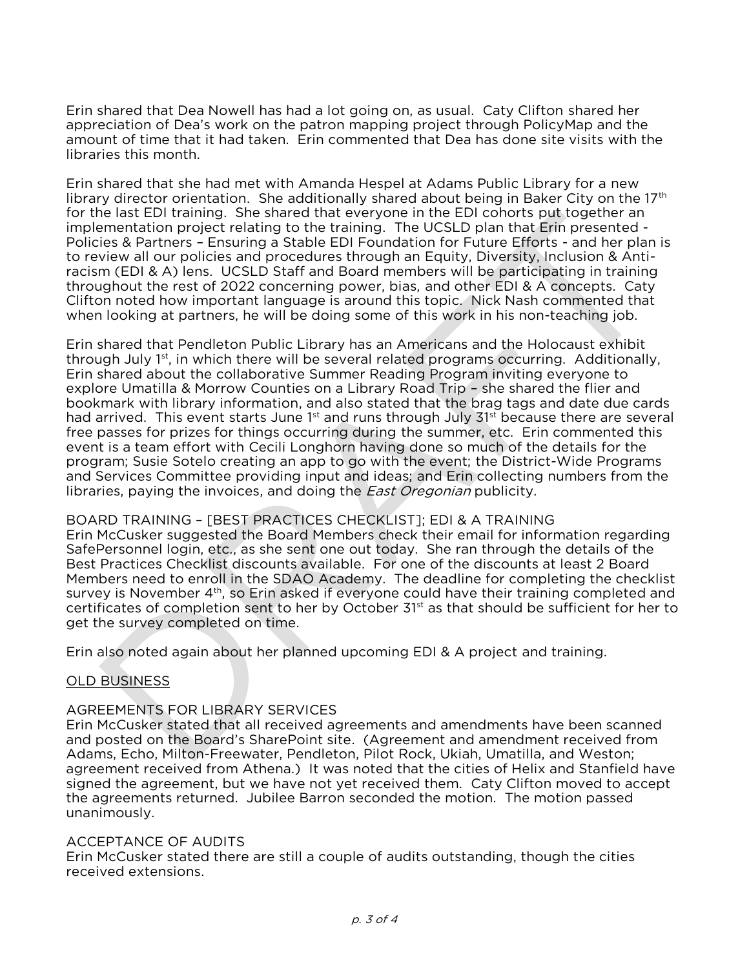Erin shared that Dea Nowell has had a lot going on, as usual. Caty Clifton shared her appreciation of Dea's work on the patron mapping project through PolicyMap and the amount of time that it had taken. Erin commented that Dea has done site visits with the libraries this month. libraries this month.

Erin shared that she had met with Amanda Hespel at Adams Public Library for a new library director orientation. She additionally shared about being in Baker City on the  $17<sup>th</sup>$ for the last EDI training. She shared that everyone in the EDI cohorts put together an implementation project relating to the training. The UCSLD plan that Erin presented -Policies & Partners - Ensuring a Stable EDI Foundation for Future Efforts - and her plan is to review all our policies and procedures through an Equity, Diversity, Inclusion & Antiracism (EDI & A) lens. UCSLD Staff and Board members will be participating in training throughout the rest of 2022 concerning power, bias, and other EDI & A concepts. Caty Clifton noted how important language is around this topic. Nick Nash commented that when looking at partners, he will be doing some of this work in his non-teaching job. when looking at partners, he will be doing some of this work in his non-teaching job.

Erin shared that Pendleton Public Library has an Americans and the Holocaust exhibit through July 1<sup>st</sup>, in which there will be several related programs occurring. Additionally, Erin shared about the collaborative Summer Reading Program inviting everyone to explore Umatilla & Morrow Counties on a Library Road Trip - she shared the flier and bookmark with library information, and also stated that the brag tags and date due cards had arrived. This event starts June 1<sup>st</sup> and runs through July 31<sup>st</sup> because there are several free passes for prizes for things occurring during the summer, etc. Erin commented this event is a team effort with Cecili Longhorn having done so much of the details for the program; Susie Sotelo creating an app to go with the event; the District-Wide Programs and Services Committee providing input and ideas; and Erin collecting numbers from the libraries, paying the invoices, and doing the *East Oregonian* publicity.

BOARD TRAINING - [BEST PRACTICES CHECKLIST]; EDI & A TRAINING<br>Erin McCusker suggested the Board Members check their email for information regarding SafePersonnel login, etc., as she sent one out today. She ran through the details of the Best Practices Checklist discounts available. For one of the discounts at least 2 Board Members need to enroll in the SDAO Academy. The deadline for completing the checklist survey is November 4<sup>th</sup>, so Erin asked if everyone could have their training completed and survey is November 4th, so Erin asked if everyone could have their training completed and<br>certificates of completion sent to her by October 31st as that should be sufficient for her to get the survey completed on time. st as that should be sufficient for her to get the survey complete down the survey complete on time.

Erin also noted again about her planned upcoming EDI & A project and training.

# <u>OLD BUSINESS</u>

# AGREEMENTS FOR LIBRARY SERVICES

Erin McCusker stated that all received agreements and amendments have been scanned and posted on the Board's SharePoint site. (Agreement and amendment received from Adams, Echo, Milton-Freewater, Pendleton, Pilot Rock, Ukiah, Umatilla, and Weston; agreement received from Athena.) It was noted that the cities of Helix and Stanfield have signed the agreement, but we have not yet received them. Caty Clifton moved to accept the agreements returned. Jubilee Barron seconded the motion. The motion passed unanimously. unanimously.

ACCEPTANCE OF AUDITS<br>Erin McCusker stated there are still a couple of audits outstanding, though the cities received extensions. received extensions.